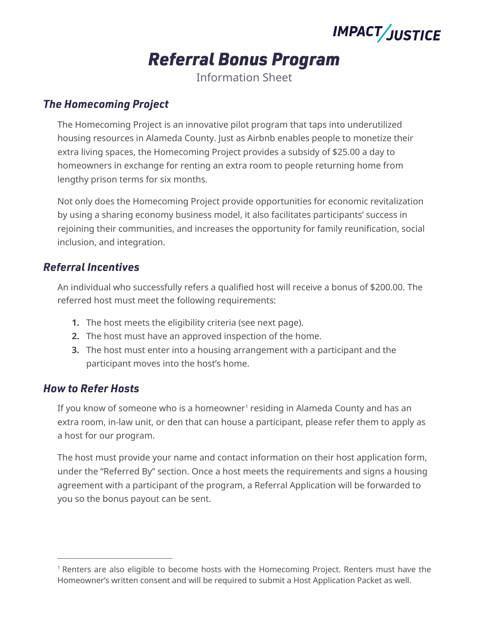**IMPACT/JUSTICE** 

# *Referral Bonus Program*

Information Sheet

## *The Homecoming Project*

The Homecoming Project is an innovative pilot program that taps into underutilized housing resources in Alameda County. Just as Airbnb enables people to monetize their extra living spaces, the Homecoming Project provides a subsidy of \$25.00 a day to homeowners in exchange for renting an extra room to people returning home from lengthy prison terms for six months.

Not only does the Homecoming Project provide opportunities for economic revitalization by using a sharing economy business model, it also facilitates participants' success in rejoining their communities, and increases the opportunity for family reunification, social inclusion, and integration.

## *Referral Incentives*

An individual who successfully refers a qualified host will receive a bonus of \$200.00. The referred host must meet the following requirements:

- **1.** The host meets the eligibility criteria (see next page).
- **2.** The host must have an approved inspection of the home.
- **3.** The host must enter into a housing arrangement with a participant and the participant moves into the host's home.

#### *How to Refer Hosts*

If you know of someone who is a homeowner<sup>1</sup> residing in Alameda County and has an extra room, in-law unit, or den that can house a participant, please refer them to apply as a host for our program.

The host must provide your name and contact information on their host application form, under the "Referred By" section. Once a host meets the requirements and signs a housing agreement with a participant of the program, a Referral Application will be forwarded to you so the bonus payout can be sent.

<sup>1</sup> Renters are also eligible to become hosts with the Homecoming Project. Renters must have the Homeowner's written consent and will be required to submit a Host Application Packet as well.